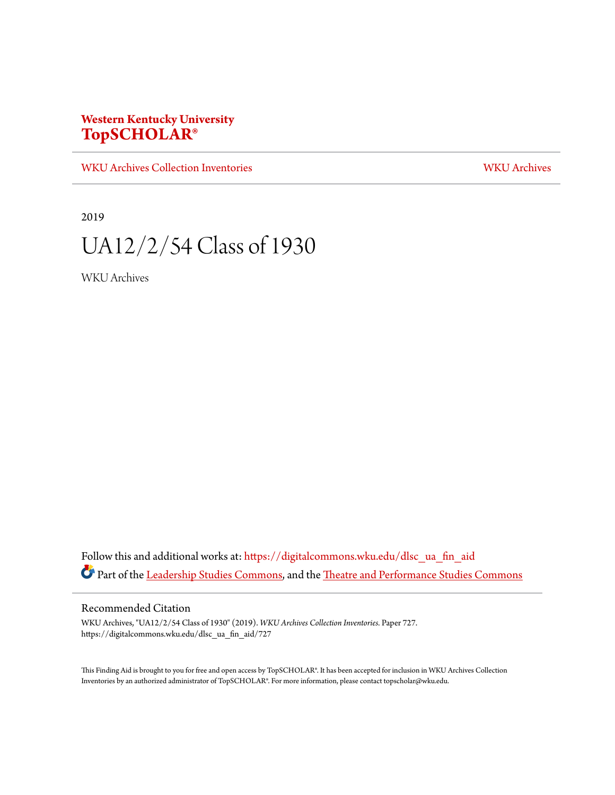### **Western Kentucky University [TopSCHOLAR®](https://digitalcommons.wku.edu?utm_source=digitalcommons.wku.edu%2Fdlsc_ua_fin_aid%2F727&utm_medium=PDF&utm_campaign=PDFCoverPages)**

[WKU Archives Collection Inventories](https://digitalcommons.wku.edu/dlsc_ua_fin_aid?utm_source=digitalcommons.wku.edu%2Fdlsc_ua_fin_aid%2F727&utm_medium=PDF&utm_campaign=PDFCoverPages) [WKU Archives](https://digitalcommons.wku.edu/dlsc_ua?utm_source=digitalcommons.wku.edu%2Fdlsc_ua_fin_aid%2F727&utm_medium=PDF&utm_campaign=PDFCoverPages)

2019

# UA12/2/54 Class of 1930

WKU Archives

Follow this and additional works at: [https://digitalcommons.wku.edu/dlsc\\_ua\\_fin\\_aid](https://digitalcommons.wku.edu/dlsc_ua_fin_aid?utm_source=digitalcommons.wku.edu%2Fdlsc_ua_fin_aid%2F727&utm_medium=PDF&utm_campaign=PDFCoverPages) Part of the [Leadership Studies Commons](http://network.bepress.com/hgg/discipline/1250?utm_source=digitalcommons.wku.edu%2Fdlsc_ua_fin_aid%2F727&utm_medium=PDF&utm_campaign=PDFCoverPages), and the [Theatre and Performance Studies Commons](http://network.bepress.com/hgg/discipline/552?utm_source=digitalcommons.wku.edu%2Fdlsc_ua_fin_aid%2F727&utm_medium=PDF&utm_campaign=PDFCoverPages)

#### Recommended Citation

WKU Archives, "UA12/2/54 Class of 1930" (2019). *WKU Archives Collection Inventories.* Paper 727. https://digitalcommons.wku.edu/dlsc\_ua\_fin\_aid/727

This Finding Aid is brought to you for free and open access by TopSCHOLAR®. It has been accepted for inclusion in WKU Archives Collection Inventories by an authorized administrator of TopSCHOLAR®. For more information, please contact topscholar@wku.edu.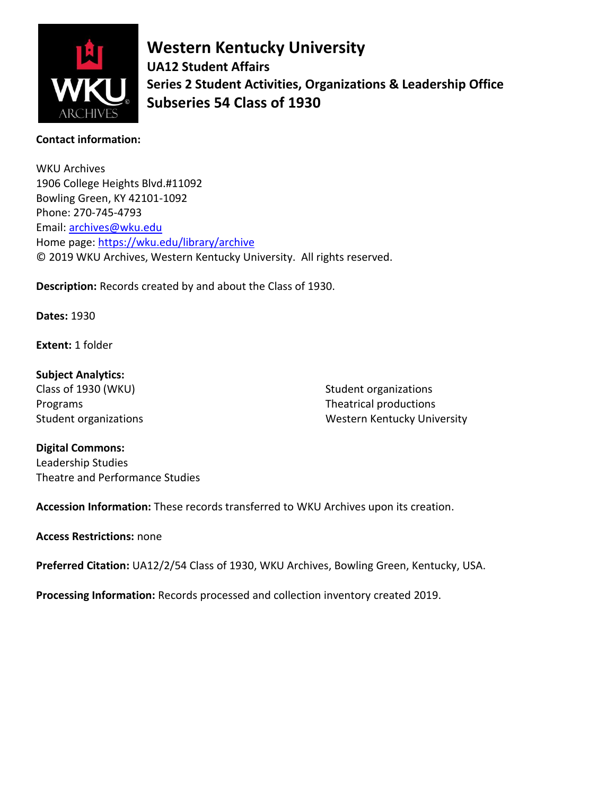

**Western Kentucky University UA12 Student Affairs Series 2 Student Activities, Organizations & Leadership Office Subseries 54 Class of 1930**

#### **Contact information:**

WKU Archives 1906 College Heights Blvd.#11092 Bowling Green, KY 42101-1092 Phone: 270-745-4793 Email: [archives@wku.edu](mailto:archives@wku.edu) Home page:<https://wku.edu/library/archive> © 2019 WKU Archives, Western Kentucky University. All rights reserved.

**Description:** Records created by and about the Class of 1930.

**Dates:** 1930

**Extent:** 1 folder

**Subject Analytics:** Class of 1930 (WKU) Programs Student organizations

Student organizations Theatrical productions Western Kentucky University

#### **Digital Commons:**

Leadership Studies Theatre and Performance Studies

**Accession Information:** These records transferred to WKU Archives upon its creation.

#### **Access Restrictions:** none

**Preferred Citation:** UA12/2/54 Class of 1930, WKU Archives, Bowling Green, Kentucky, USA.

**Processing Information:** Records processed and collection inventory created 2019.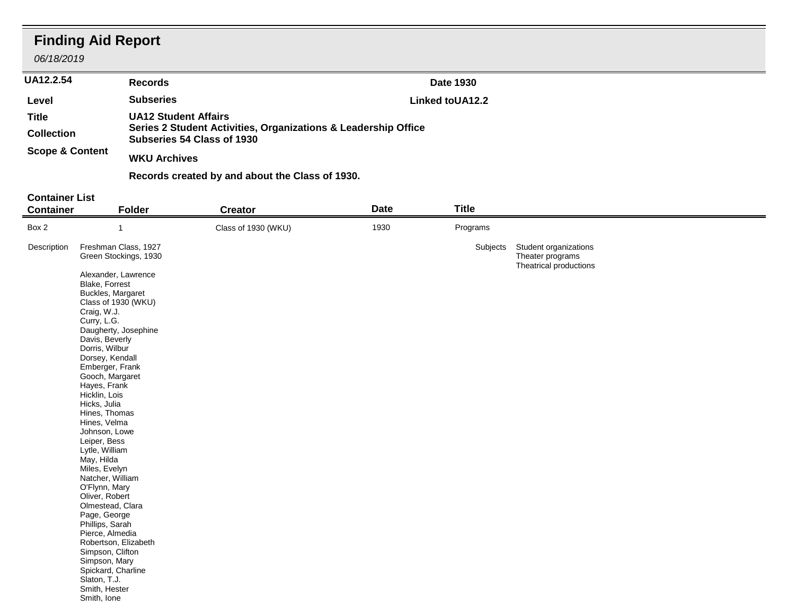## **Finding Aid Report**

*06/18/2019*

| <b>UU IULU IU</b>          |                                                                                                                             |                              |  |
|----------------------------|-----------------------------------------------------------------------------------------------------------------------------|------------------------------|--|
| <b>UA12.2.54</b>           | <b>Records</b>                                                                                                              | Date 1930                    |  |
| Level                      | <b>Subseries</b>                                                                                                            | Linked to UA <sub>12.2</sub> |  |
| Title<br><b>Collection</b> | <b>UA12 Student Affairs</b><br>Series 2 Student Activities, Organizations & Leadership Office<br>Subseries 54 Class of 1930 |                              |  |
| <b>Scope &amp; Content</b> | <b>WKU Archives</b>                                                                                                         |                              |  |
|                            | Records created by and about the Class of 1930.                                                                             |                              |  |

#### **Container List**

| Box 2<br>1930<br>Programs<br>Class of 1930 (WKU)<br>-1                                                                                       |  |
|----------------------------------------------------------------------------------------------------------------------------------------------|--|
|                                                                                                                                              |  |
| Freshman Class, 1927<br>Description<br>Subjects Student organizations<br>Green Stockings, 1930<br>Theater programs<br>Theatrical productions |  |
| Alexander, Lawrence<br>Blake, Forrest<br>Buckles, Margaret<br>Class of 1930 (WKU)                                                            |  |
| Craig, W.J.<br>Curry, L.G.<br>Daugherty, Josephine<br>Davis, Beverly                                                                         |  |
| Dorris, Wilbur<br>Dorsey, Kendall<br>Emberger, Frank                                                                                         |  |
| Gooch, Margaret<br>Hayes, Frank<br>Hicklin, Lois<br>Hicks, Julia                                                                             |  |
| Hines, Thomas<br>Hines, Velma<br>Johnson, Lowe                                                                                               |  |
| Leiper, Bess<br>Lytle, William<br>May, Hilda<br>Miles, Evelyn                                                                                |  |
| Natcher, William<br>O'Flynn, Mary<br>Oliver, Robert                                                                                          |  |
| Olmestead, Clara<br>Page, George<br>Phillips, Sarah<br>Pierce, Almedia                                                                       |  |
| Robertson, Elizabeth<br>Simpson, Clifton<br>Simpson, Mary                                                                                    |  |
| Spickard, Charline<br>Slaton, T.J.<br>Smith, Hester<br>Smith, Ione                                                                           |  |